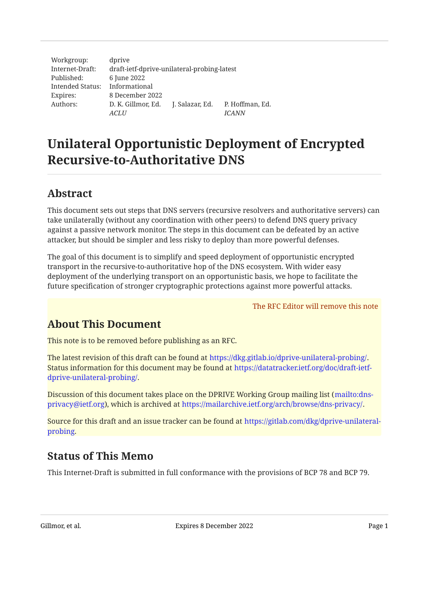Workgroup: Internet-Draft: Published: Intended Status: Informational Expires: Authors: dprive draft-ietf-dprive-unilateral-probing-latest 6 June 2022 8 December 2022 D. K. Gillmor, Ed. J. Salazar, Ed. P. Hoffman, Ed. *ACLU ICANN*

# Unilateral Opportunistic Deployment of Encrypted Recursive-to-Authoritative DNS

## <span id="page-0-0"></span>[Abstract](#page-0-0)

This document sets out steps that DNS servers (recursive resolvers and authoritative servers) can take unilaterally (without any coordination with other peers) to defend DNS query privacy against a passive network monitor. The steps in this document can be defeated by an active attacker, but should be simpler and less risky to deploy than more powerful defenses.

The goal of this document is to simplify and speed deployment of opportunistic encrypted transport in the recursive-to-authoritative hop of the DNS ecosystem. With wider easy deployment of the underlying transport on an opportunistic basis, we hope to facilitate the future specification of stronger cryptographic protections against more powerful attacks.

The RFC Editor will remove this note

## <span id="page-0-1"></span>[About This Document](#page-0-1)

This note is to be removed before publishing as an RFC.

The latest revision of this draft can be found at <code>https://dkg[.](https://dkg.gitlab.io/dprive-unilateral-probing/)gitlab.io/dprive-unilateral-probing/.</code> Status information for this document may be found at [https://datatracker.ietf.org/doc/draft-ietf-](https://datatracker.ietf.org/doc/draft-ietf-dprive-unilateral-probing/). [dprive-unilateral-probing/](https://datatracker.ietf.org/doc/draft-ietf-dprive-unilateral-probing/)

Discussion of this document takes place on the DPRIVE Working Group mailing list ([mailto:dns-](mailto:dns-privacy@ietf.org)privacy@ietf[.](https://mailarchive.ietf.org/arch/browse/dns-privacy/)org), which is archived at https://mailarchive.ietf.org/arch/browse/dns-privacy/.

<span id="page-0-2"></span>Source for this draft and an issue tracker can be found at [https://gitlab.com/dkg/dprive-unilateral-](https://gitlab.com/dkg/dprive-unilateral-probing). [probing](https://gitlab.com/dkg/dprive-unilateral-probing)

## [Status of This Memo](#page-0-2)

This Internet-Draft is submitted in full conformance with the provisions of BCP 78 and BCP 79.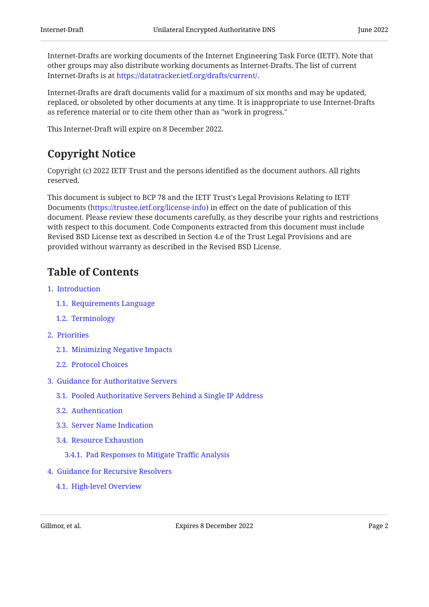Internet-Drafts are working documents of the Internet Engineering Task Force (IETF). Note that other groups may also distribute working documents as Internet-Drafts. The list of current Internet-Drafts is at https://datatracker[.](https://datatracker.ietf.org/drafts/current/)ietf.org/drafts/current/.

Internet-Drafts are draft documents valid for a maximum of six months and may be updated, replaced, or obsoleted by other documents at any time. It is inappropriate to use Internet-Drafts as reference material or to cite them other than as "work in progress."

<span id="page-1-0"></span>This Internet-Draft will expire on 8 December 2022.

## [Copyright Notice](#page-1-0)

Copyright (c) 2022 IETF Trust and the persons identified as the document authors. All rights reserved.

This document is subject to BCP 78 and the IETF Trust's Legal Provisions Relating to IETF Documents (<https://trustee.ietf.org/license-info>) in effect on the date of publication of this document. Please review these documents carefully, as they describe your rights and restrictions with respect to this document. Code Components extracted from this document must include Revised BSD License text as described in Section 4.e of the Trust Legal Provisions and are provided without warranty as described in the Revised BSD License.

## <span id="page-1-1"></span>[Table of Contents](#page-1-1)

- [1](#page-3-0).  [Introduction](#page-3-0)
	- [1.1.](#page-3-1)  [Requirements Language](#page-3-1)
	- [1.2.](#page-3-2)  [Terminology](#page-3-2)
- [2](#page-4-0).  [Priorities](#page-4-0)
	- [2.1.](#page-4-1)  [Minimizing Negative Impacts](#page-4-1)
	- [2.2.](#page-4-2)  [Protocol Choices](#page-4-2)
- [3](#page-4-3).  [Guidance for Authoritative Servers](#page-4-3)
	- [3.1.](#page-5-0)  [Pooled Authoritative Servers Behind a Single IP Address](#page-5-0)
	- [3.2.](#page-5-1)  [Authentication](#page-5-1)
	- [3.3.](#page-5-2)  [Server Name Indication](#page-5-2)
	- [3.4.](#page-6-0)  [Resource Exhaustion](#page-6-0)
		- [3.4.1.](#page-6-1)  [Pad Responses to Mitigate Traffic Analysis](#page-6-1)
- [4](#page-6-2).  [Guidance for Recursive Resolvers](#page-6-2)
	- [4.1.](#page-6-3)  [High-level Overview](#page-6-3)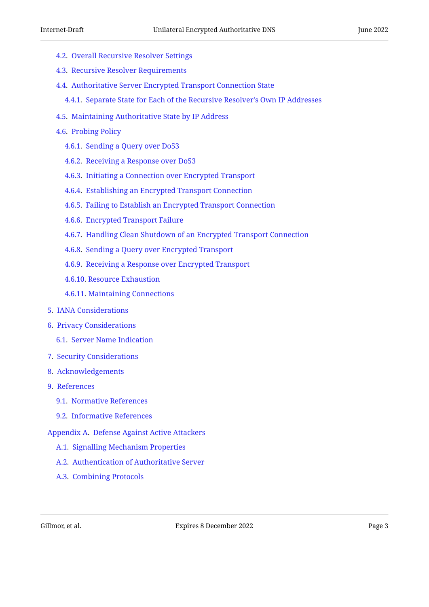- [4.2.](#page-7-0)  [Overall Recursive Resolver Settings](#page-7-0)
- [4.3.](#page-8-0)  [Recursive Resolver Requirements](#page-8-0)
- [4.4.](#page-8-1)  [Authoritative Server Encrypted Transport Connection State](#page-8-1)
	- [4.4.1.](#page-9-0)  [Separate State for Each of the Recursive Resolver's Own IP Addresses](#page-9-0)
- [4.5.](#page-9-1)  [Maintaining Authoritative State by IP Address](#page-9-1)
- [4.6.](#page-10-0)  [Probing Policy](#page-10-0)
	- [4.6.1.](#page-10-1)  [Sending a Query over Do53](#page-10-1)
	- [4.6.2.](#page-10-2)  [Receiving a Response over Do53](#page-10-2)
	- [4.6.3.](#page-11-0)  [Initiating a Connection over Encrypted Transport](#page-11-0)
	- [4.6.4.](#page-13-0)  [Establishing an Encrypted Transport Connection](#page-13-0)
	- [4.6.5.](#page-13-1)  [Failing to Establish an Encrypted Transport Connection](#page-13-1)
	- [4.6.6.](#page-13-2)  [Encrypted Transport Failure](#page-13-2)
	- [4.6.7.](#page-14-0)  [Handling Clean Shutdown of an Encrypted Transport Connection](#page-14-0)
	- [4.6.8.](#page-14-1)  [Sending a Query over Encrypted Transport](#page-14-1)
	- [4.6.9.](#page-15-0)  [Receiving a Response over Encrypted Transport](#page-15-0)
	- [4.6.10](#page-16-0). [Resource Exhaustion](#page-16-0)
	- [4.6.11](#page-16-1). [Maintaining Connections](#page-16-1)
- [5](#page-16-2).  [IANA Considerations](#page-16-2)
- [6](#page-16-3).  [Privacy Considerations](#page-16-3)
	- [6.1.](#page-16-4)  [Server Name Indication](#page-16-4)
- [7](#page-17-0).  [Security Considerations](#page-17-0)
- [8](#page-17-1).  [Acknowledgements](#page-17-1)
- [9](#page-17-2).  [References](#page-17-2)
	- [9.1.](#page-17-3)  [Normative References](#page-17-3)
	- [9.2.](#page-18-0)  [Informative References](#page-18-0)
- [Appendix A.](#page-19-0)  [Defense Against Active Attackers](#page-19-0)
	- [A.1](#page-20-0). [Signalling Mechanism Properties](#page-20-0)
	- [A.2](#page-20-1). [Authentication of Authoritative Server](#page-20-1)
	- [A.3](#page-21-0). [Combining Protocols](#page-21-0)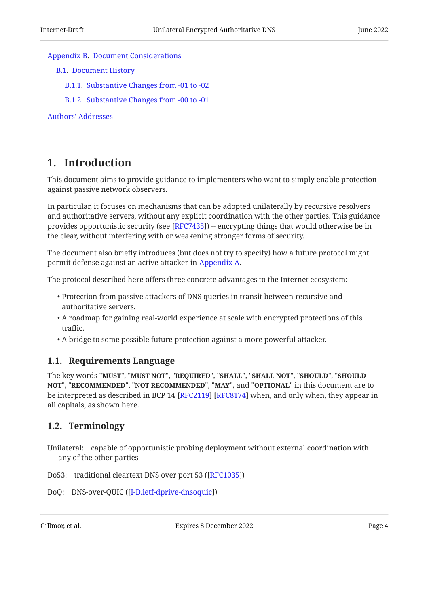#### [Appendix B](#page-21-1). [Document Considerations](#page-21-1)

- [B.1.](#page-21-2)  [Document History](#page-21-2)
	- [B.1.1.](#page-21-3)  [Substantive Changes from -01 to -02](#page-21-3)
	- [B.1.2.](#page-21-4)  [Substantive Changes from -00 to -01](#page-21-4)

[Authors' Addresses](#page-21-5)

## <span id="page-3-0"></span>[1. Introduction](#page-3-0)

This document aims to provide guidance to implementers who want to simply enable protection against passive network observers.

In particular, it focuses on mechanisms that can be adopted unilaterally by recursive resolvers and authoritative servers, without any explicit coordination with the other parties. This guidance provides opportunistic security (see [RFC7435]) -- encrypting things that would otherwise be in the clear, without interfering with or weakening stronger forms of security.

The document also briefly introduces (but does not try to specify) how a future protocol might permit defense against an active attacker in [Appendix A.](#page-19-0)

The protocol described here offers three concrete advantages to the Internet ecosystem:

- $\bullet$  Protection from passive attackers of DNS queries in transit between recursive and authoritative servers.
- A roadmap for gaining real-world experience at scale with encrypted protections of this traffic.
- <span id="page-3-1"></span>A bridge to some possible future protection against a more powerful attacker. •

### [1.1. Requirements Language](#page-3-1)

The key words "MUST", "MUST NOT", "REQUIRED", "SHALL", "SHALL NOT", "SHOULD", "SHOULD NOT", "RECOMMENDED", "NOT RECOMMENDED", "MAY", and "OPTIONAL" in this document are to be interpreted as described in BCP 14 [RFC2119] [RFC8174] when, and only when, they appear in all capitals, as shown here.

### <span id="page-3-2"></span>[1.2. Terminology](#page-3-2)

- Unilateral: capable of opportunistic probing deployment without external coordination with any of the other parties
- Do53: traditional cleartext DNS over port 53 ([\[RFC1035](#page-18-3)])
- DoQ: DNS-over-QUIC ([\[I-D.ietf-dprive-dnsoquic\]](#page-18-4))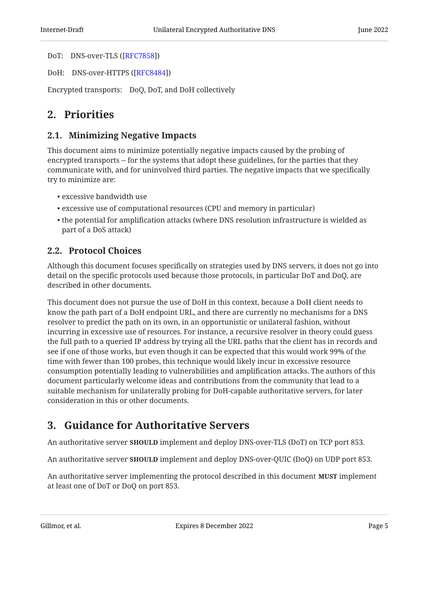DoT: DNS-over-TLS ([[RFC7858\]](#page-18-5))

DoH: DNS-over-HTTPS ([\[RFC8484](#page-18-6)])

<span id="page-4-0"></span>Encrypted transports: DoQ, DoT, and DoH collectively

## <span id="page-4-1"></span>[2. Priorities](#page-4-0)

### [2.1. Minimizing Negative Impacts](#page-4-1)

This document aims to minimize potentially negative impacts caused by the probing of encrypted transports -- for the systems that adopt these guidelines, for the parties that they communicate with, and for uninvolved third parties. The negative impacts that we specifically try to minimize are:

- excessive bandwidth use •
- excessive use of computational resources (CPU and memory in particular)
- $\bullet$  the potential for amplification attacks (where DNS resolution infrastructure is wielded as part of a DoS attack)

### <span id="page-4-2"></span>[2.2. Protocol Choices](#page-4-2)

Although this document focuses specifically on strategies used by DNS servers, it does not go into detail on the specific protocols used because those protocols, in particular DoT and DoQ, are described in other documents.

This document does not pursue the use of DoH in this context, because a DoH client needs to know the path part of a DoH endpoint URL, and there are currently no mechanisms for a DNS resolver to predict the path on its own, in an opportunistic or unilateral fashion, without incurring in excessive use of resources. For instance, a recursive resolver in theory could guess the full path to a queried IP address by trying all the URL paths that the client has in records and see if one of those works, but even though it can be expected that this would work 99% of the time with fewer than 100 probes, this technique would likely incur in excessive resource consumption potentially leading to vulnerabilities and amplification attacks. The authors of this document particularly welcome ideas and contributions from the community that lead to a suitable mechanism for unilaterally probing for DoH-capable authoritative servers, for later consideration in this or other documents.

## <span id="page-4-3"></span>[3. Guidance for Authoritative Servers](#page-4-3)

An authoritative server **SHOULD** implement and deploy DNS-over-TLS (DoT) on TCP port 853.

An authoritative server **SHOULD** implement and deploy DNS-over-QUIC (DoQ) on UDP port 853.

An authoritative server implementing the protocol described in this document  ${\tt MUST}$  implement at least one of DoT or DoQ on port 853.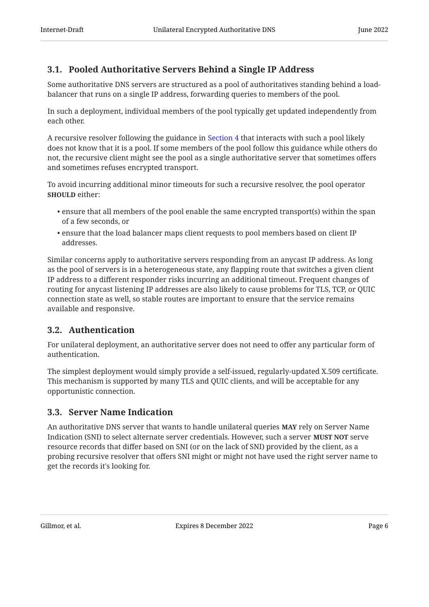## <span id="page-5-0"></span>[3.1. Pooled Authoritative Servers Behind a Single IP Address](#page-5-0)

Some authoritative DNS servers are structured as a pool of authoritatives standing behind a loadbalancer that runs on a single IP address, forwarding queries to members of the pool.

In such a deployment, individual members of the pool typically get updated independently from each other.

A recursive resolver following the guidance in [Section 4](#page-6-2) that interacts with such a pool likely does not know that it is a pool. If some members of the pool follow this guidance while others do not, the recursive client might see the pool as a single authoritative server that sometimes offers and sometimes refuses encrypted transport.

To avoid incurring additional minor timeouts for such a recursive resolver, the pool operator **SHOULD** either:

- $\bullet$  ensure that all members of the pool enable the same encrypted transport(s) within the span of a few seconds, or
- $\bullet$  ensure that the load balancer maps client requests to pool members based on client IP  $\,$ addresses.

Similar concerns apply to authoritative servers responding from an anycast IP address. As long as the pool of servers is in a heterogeneous state, any flapping route that switches a given client IP address to a different responder risks incurring an additional timeout. Frequent changes of routing for anycast listening IP addresses are also likely to cause problems for TLS, TCP, or QUIC connection state as well, so stable routes are important to ensure that the service remains available and responsive.

### <span id="page-5-1"></span>[3.2. Authentication](#page-5-1)

For unilateral deployment, an authoritative server does not need to offer any particular form of authentication.

The simplest deployment would simply provide a self-issued, regularly-updated X.509 certificate. This mechanism is supported by many TLS and QUIC clients, and will be acceptable for any opportunistic connection.

### <span id="page-5-2"></span>[3.3. Server Name Indication](#page-5-2)

An authoritative DNS server that wants to handle unilateral queries **MAY** rely on Server Name Indication (SNI) to select alternate server credentials. However, such a server **MUST NOT** serve resource records that differ based on SNI (or on the lack of SNI) provided by the client, as a probing recursive resolver that offers SNI might or might not have used the right server name to get the records it's looking for.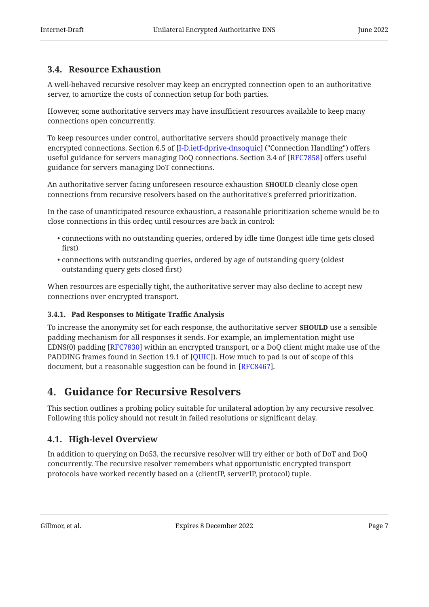## <span id="page-6-0"></span>[3.4. Resource Exhaustion](#page-6-0)

A well-behaved recursive resolver may keep an encrypted connection open to an authoritative server, to amortize the costs of connection setup for both parties.

However, some authoritative servers may have insufficient resources available to keep many connections open concurrently.

To keep resources under control, authoritative servers should proactively manage their encrypted connections. Section 6.5 of [I-D.ietf-dprive-dnsoquic] ("Connection Handling") offers useful guidance for servers managing DoQ connections. Section 3.4 of [RFC7858] offers useful guidance for servers managing DoT connections.

An authoritative server facing unforeseen resource exhaustion **SHOULD** cleanly close open connections from recursive resolvers based on the authoritative's preferred prioritization.

In the case of unanticipated resource exhaustion, a reasonable prioritization scheme would be to close connections in this order, until resources are back in control:

- connections with no outstanding queries, ordered by idle time (longest idle time gets closed first)
- connections with outstanding queries, ordered by age of outstanding query (oldest outstanding query gets closed first)

When resources are especially tight, the authoritative server may also decline to accept new connections over encrypted transport.

#### <span id="page-6-1"></span>[3.4.1. Pad Responses to Mitigate Traffic Analysis](#page-6-1)

To increase the anonymity set for each response, the authoritative server **SHOULD** use a sensible padding mechanism for all responses it sends. For example, an implementation might use EDNS(0) padding [RFC7830] within an encrypted transport, or a DoQ client might make use of the PADDING frames found in Section 19.1 of [QUIC]). How much to pad is out of scope of this document, but a reasonable suggestion can be found in [RFC8467].

## <span id="page-6-2"></span>[4. Guidance for Recursive Resolvers](#page-6-2)

This section outlines a probing policy suitable for unilateral adoption by any recursive resolver. Following this policy should not result in failed resolutions or significant delay.

## <span id="page-6-3"></span>[4.1. High-level Overview](#page-6-3)

In addition to querying on Do53, the recursive resolver will try either or both of DoT and DoQ concurrently. The recursive resolver remembers what opportunistic encrypted transport protocols have worked recently based on a (clientIP, serverIP, protocol) tuple.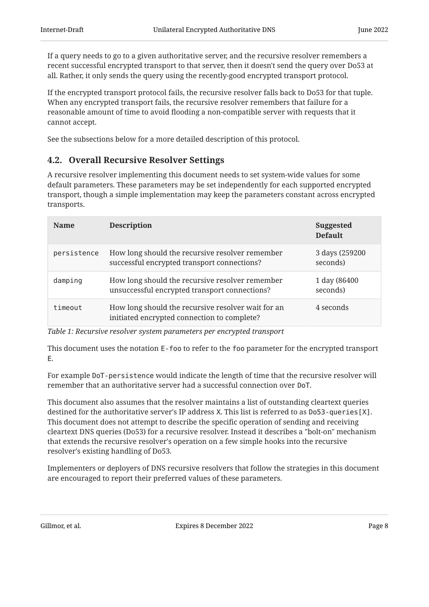If a query needs to go to a given authoritative server, and the recursive resolver remembers a recent successful encrypted transport to that server, then it doesn't send the query over Do53 at all. Rather, it only sends the query using the recently-good encrypted transport protocol.

If the encrypted transport protocol fails, the recursive resolver falls back to Do53 for that tuple. When any encrypted transport fails, the recursive resolver remembers that failure for a reasonable amount of time to avoid flooding a non-compatible server with requests that it cannot accept.

<span id="page-7-0"></span>See the subsections below for a more detailed description of this protocol.

### [4.2. Overall Recursive Resolver Settings](#page-7-0)

A recursive resolver implementing this document needs to set system-wide values for some default parameters. These parameters may be set independently for each supported encrypted transport, though a simple implementation may keep the parameters constant across encrypted transports.

<span id="page-7-1"></span>

| <b>Name</b> | <b>Description</b>                                                                                | <b>Suggested</b><br><b>Default</b> |
|-------------|---------------------------------------------------------------------------------------------------|------------------------------------|
| persistence | How long should the recursive resolver remember<br>successful encrypted transport connections?    | 3 days (259200<br>seconds)         |
| damping     | How long should the recursive resolver remember<br>unsuccessful encrypted transport connections?  | 1 day (86400<br>seconds)           |
| timeout     | How long should the recursive resolver wait for an<br>initiated encrypted connection to complete? | 4 seconds                          |

*[Table 1](#page-7-1): [Recursive resolver system parameters per encrypted transport](#page-7-1)*

This document uses the notation E-foo to refer to the foo parameter for the encrypted transport E.

For example DoT-persistence would indicate the length of time that the recursive resolver will remember that an authoritative server had a successful connection over DoT.

This document also assumes that the resolver maintains a list of outstanding cleartext queries destined for the authoritative server's IP address X. This list is referred to as Do53-queries[X]. This document does not attempt to describe the specific operation of sending and receiving cleartext DNS queries (Do53) for a recursive resolver. Instead it describes a "bolt-on" mechanism that extends the recursive resolver's operation on a few simple hooks into the recursive resolver's existing handling of Do53.

Implementers or deployers of DNS recursive resolvers that follow the strategies in this document are encouraged to report their preferred values of these parameters.

Gillmor, et al. Expires 8 December 2022 Page 8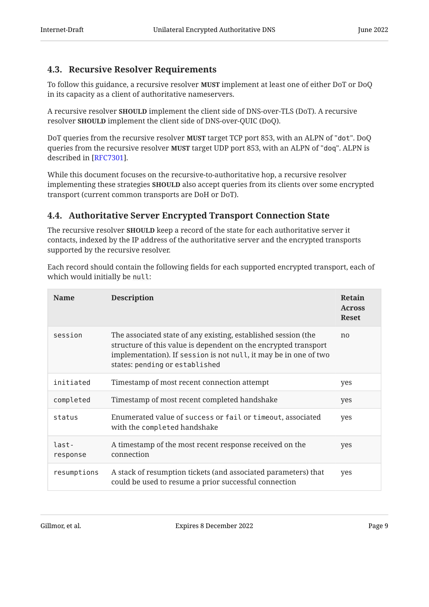### <span id="page-8-0"></span>[4.3. Recursive Resolver Requirements](#page-8-0)

To follow this guidance, a recursive resolver **MUST** implement at least one of either DoT or DoQ in its capacity as a client of authoritative nameservers.

A recursive resolver **SHOULD** implement the client side of DNS-over-TLS (DoT). A recursive resolver **SHOULD** implement the client side of DNS-over-QUIC (DoQ).

DoT queries from the recursive resolver **MUST** target TCP port 853, with an ALPN of "dot". DoQ queries from the recursive resolver  $\texttt{MUST}$  target UDP port 853, with an ALPN of "doq". ALPN is described in [RFC7301].

While this document focuses on the recursive-to-authoritative hop, a recursive resolver implementing these strategies  ${\bf SHOULD}$  also accept queries from its clients over some encrypted transport (current common transports are DoH or DoT).

## <span id="page-8-1"></span>[4.4. Authoritative Server Encrypted Transport Connection State](#page-8-1)

The recursive resolver <code>SHOULD</code> keep a record of the state for each authoritative server it contacts, indexed by the IP address of the authoritative server and the encrypted transports supported by the recursive resolver.

Each record should contain the following fields for each supported encrypted transport, each of which would initially be null:

<span id="page-8-2"></span>

| <b>Name</b>       | <b>Description</b>                                                                                                                                                                                                                      | <b>Retain</b><br><b>Across</b><br><b>Reset</b> |
|-------------------|-----------------------------------------------------------------------------------------------------------------------------------------------------------------------------------------------------------------------------------------|------------------------------------------------|
| session           | The associated state of any existing, established session (the<br>structure of this value is dependent on the encrypted transport<br>implementation). If session is not null, it may be in one of two<br>states: pending or established | n <sub>0</sub>                                 |
| initiated         | Timestamp of most recent connection attempt                                                                                                                                                                                             | yes                                            |
| completed         | Timestamp of most recent completed handshake                                                                                                                                                                                            | yes                                            |
| status            | Enumerated value of success or fail or timeout, associated<br>with the completed handshake                                                                                                                                              | yes                                            |
| last-<br>response | A timestamp of the most recent response received on the<br>connection                                                                                                                                                                   | yes                                            |
| resumptions       | A stack of resumption tickets (and associated parameters) that<br>could be used to resume a prior successful connection                                                                                                                 | yes                                            |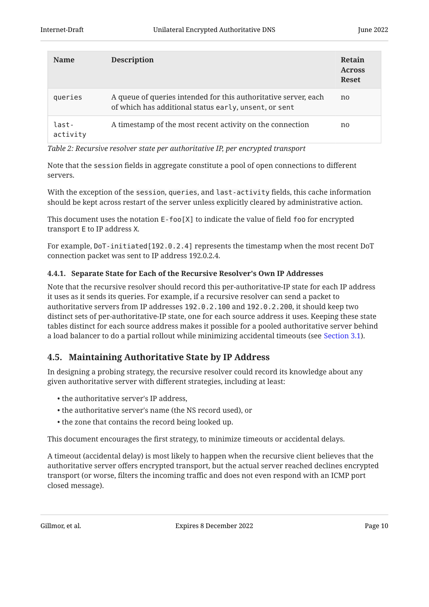| <b>Name</b>       | <b>Description</b>                                                                                                       | Retain<br><b>Across</b><br><b>Reset</b> |
|-------------------|--------------------------------------------------------------------------------------------------------------------------|-----------------------------------------|
| queries           | A queue of queries intended for this authoritative server, each<br>of which has additional status early, unsent, or sent | no                                      |
| last-<br>activity | A timestamp of the most recent activity on the connection                                                                | no                                      |

*[Table 2](#page-8-2): [Recursive resolver state per authoritative IP, per encrypted transport](#page-8-2)*

Note that the session fields in aggregate constitute a pool of open connections to different servers.

With the exception of the session, queries, and last-activity fields, this cache information should be kept across restart of the server unless explicitly cleared by administrative action.

This document uses the notation E-foo[X] to indicate the value of field foo for encrypted transport E to IP address X.

For example, DoT-initiated[192.0.2.4] represents the timestamp when the most recent DoT connection packet was sent to IP address 192.0.2.4.

#### <span id="page-9-0"></span>[4.4.1. Separate State for Each of the Recursive Resolver's Own IP Addresses](#page-9-0)

Note that the recursive resolver should record this per-authoritative-IP state for each IP address it uses as it sends its queries. For example, if a recursive resolver can send a packet to authoritative servers from IP addresses 192.0.2.100 and 192.0.2.200, it should keep two distinct sets of per-authoritative-IP state, one for each source address it uses. Keeping these state tables distinct for each source address makes it possible for a pooled authoritative server behind a load balancer to do a partial rollout while minimizing accidental timeouts (see [Section 3.1\)](#page-5-0).

### <span id="page-9-1"></span>[4.5. Maintaining Authoritative State by IP Address](#page-9-1)

In designing a probing strategy, the recursive resolver could record its knowledge about any given authoritative server with different strategies, including at least:

- the authoritative server's IP address,
- the authoritative server's name (the NS record used), or •
- the zone that contains the record being looked up.

This document encourages the first strategy, to minimize timeouts or accidental delays.

A timeout (accidental delay) is most likely to happen when the recursive client believes that the authoritative server offers encrypted transport, but the actual server reached declines encrypted transport (or worse, filters the incoming traffic and does not even respond with an ICMP port closed message).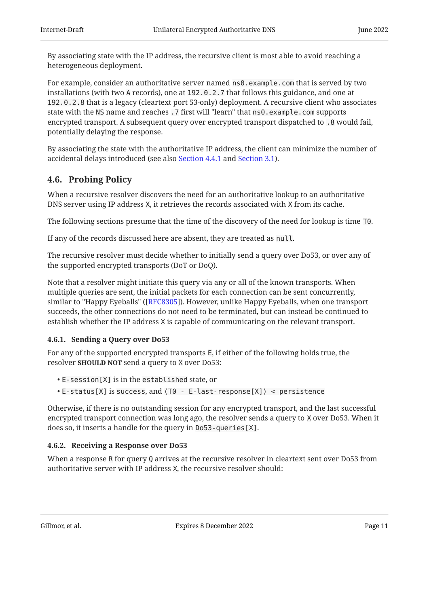By associating state with the IP address, the recursive client is most able to avoid reaching a heterogeneous deployment.

For example, consider an authoritative server named ns0.example.com that is served by two installations (with two A records), one at 192.0.2.7 that follows this guidance, and one at 192.0.2.8 that is a legacy (cleartext port 53-only) deployment. A recursive client who associates state with the NS name and reaches .7 first will "learn" that ns0.example.com supports encrypted transport. A subsequent query over encrypted transport dispatched to .8 would fail, potentially delaying the response.

By associating the state with the authoritative IP address, the client can minimize the number of accidental delays introduced (see also [Section 4.4.1](#page-9-0) and [Section 3.1\)](#page-5-0).

### <span id="page-10-0"></span>[4.6. Probing Policy](#page-10-0)

When a recursive resolver discovers the need for an authoritative lookup to an authoritative DNS server using IP address X, it retrieves the records associated with X from its cache.

The following sections presume that the time of the discovery of the need for lookup is time T0.

If any of the records discussed here are absent, they are treated as null.

The recursive resolver must decide whether to initially send a query over Do53, or over any of the supported encrypted transports (DoT or DoQ).

Note that a resolver might initiate this query via any or all of the known transports. When multiple queries are sent, the initial packets for each connection can be sent concurrently, similar to "Happy Eyeballs" ([[RFC8305\]](#page-18-11)). However, unlike Happy Eyeballs, when one transport succeeds, the other connections do not need to be terminated, but can instead be continued to establish whether the IP address X is capable of communicating on the relevant transport.

#### <span id="page-10-1"></span>[4.6.1. Sending a Query over Do53](#page-10-1)

For any of the supported encrypted transports E, if either of the following holds true, the resolver **SHOULD NOT** send a query to X over Do53:

- E-session[X] is in the established state, or •
- E-status[X] is success, and (T0 E-last-response[X]) < persistence •

Otherwise, if there is no outstanding session for any encrypted transport, and the last successful encrypted transport connection was long ago, the resolver sends a query to X over Do53. When it does so, it inserts a handle for the query in Do53-queries[X].

#### <span id="page-10-2"></span>[4.6.2. Receiving a Response over Do53](#page-10-2)

When a response R for query Q arrives at the recursive resolver in cleartext sent over Do53 from authoritative server with IP address X, the recursive resolver should: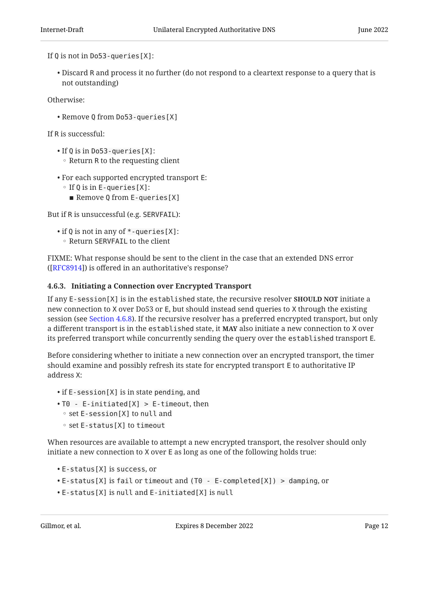If Q is not in Do53-queries[X]:

 $\bullet$  Discard R and process it no further (do not respond to a cleartext response to a query that is not outstanding)

Otherwise:

Remove Q from Do53-queries[X] •

If R is successful:

- •If Q is in Do53-queries[X]:
- $\circ$  Return R to the requesting client
- For each supported encrypted transport E:
	- If Q is in E-queries [X]:
		- Remove Q from E-queries [X]

But if R is unsuccessful (e.g. SERVFAIL):

- $\bullet$  if Q is not in any of  $\ast$  -queries [X]:
- Return SERVFAIL to the client

FIXME: What response should be sent to the client in the case that an extended DNS error  $([RFC8914])$  $([RFC8914])$  $([RFC8914])$  is offered in an authoritative's response?

#### <span id="page-11-0"></span>[4.6.3. Initiating a Connection over Encrypted Transport](#page-11-0)

If any E-session[X] is in the established state, the recursive resolver  ${\tt ShOULD\, NOT}$  initiate a new connection to X over Do53 or E, but should instead send queries to X through the existing session (see [Section 4.6.8](#page-14-1)). If the recursive resolver has a preferred encrypted transport, but only a different transport is in the  $e$ stabl $i$ shed state, it MAY also initiate a new connection to X over its preferred transport while concurrently sending the query over the established transport E.

Before considering whether to initiate a new connection over an encrypted transport, the timer should examine and possibly refresh its state for encrypted transport E to authoritative IP address X:

- if E-session [X] is in state pending, and
- T0 E-initiated[X] > E-timeout, then •
- set E-session[X] to null and
- set E-status[X] to timeout

When resources are available to attempt a new encrypted transport, the resolver should only initiate a new connection to X over E as long as one of the following holds true:

- E-status[X] is success, or •
- E-status[X] is fail or timeout and (T0 E-completed[X]) > damping, or •
- E-status[X] is null and E-initiated[X] is null •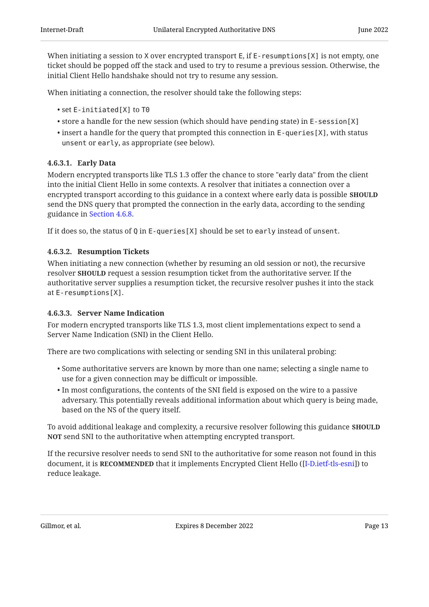When initiating a session to X over encrypted transport E, if E-resumptions [X] is not empty, one ticket should be popped off the stack and used to try to resume a previous session. Otherwise, the initial Client Hello handshake should not try to resume any session.

When initiating a connection, the resolver should take the following steps:

- set E-initiated[X] to T0 •
- $\bullet$  store a handle for the new session (which should have pending state) in E-session[X]
- $\bullet$  insert a handle for the query that prompted this connection in E-que<code>ries[X]</code>, with status unsent or early, as appropriate (see below).

#### <span id="page-12-0"></span>[4.6.3.1. Early Data](#page-12-0)

Modern encrypted transports like TLS 1.3 offer the chance to store "early data" from the client into the initial Client Hello in some contexts. A resolver that initiates a connection over a encrypted transport according to this guidance in a context where early data is possible **SHOULD** send the DNS query that prompted the connection in the early data, according to the sending guidance in [Section 4.6.8](#page-14-1).

If it does so, the status of Q in E-queries[X] should be set to early instead of unsent.

#### <span id="page-12-1"></span>[4.6.3.2. Resumption Tickets](#page-12-1)

When initiating a new connection (whether by resuming an old session or not), the recursive resolver **SHOULD** request a session resumption ticket from the authoritative server. If the authoritative server supplies a resumption ticket, the recursive resolver pushes it into the stack at E-resumptions[X].

#### <span id="page-12-2"></span>[4.6.3.3. Server Name Indication](#page-12-2)

For modern encrypted transports like TLS 1.3, most client implementations expect to send a Server Name Indication (SNI) in the Client Hello.

There are two complications with selecting or sending SNI in this unilateral probing:

- $\bullet$  Some authoritative servers are known by more than one name; selecting a single name to use for a given connection may be difficult or impossible.
- $\bullet$  In most configurations, the contents of the SNI field is exposed on the wire to a passive adversary. This potentially reveals additional information about which query is being made, based on the NS of the query itself.

To avoid additional leakage and complexity, a recursive resolver following this guidance <code>SHOULD</code> NOT send SNI to the authoritative when attempting encrypted transport.

If the recursive resolver needs to send SNI to the authoritative for some reason not found in this document, it is **RECOMMENDED** that it implements Encrypted Client Hello ([\[I-D.ietf-tls-esni](#page-19-1)]) to reduce leakage.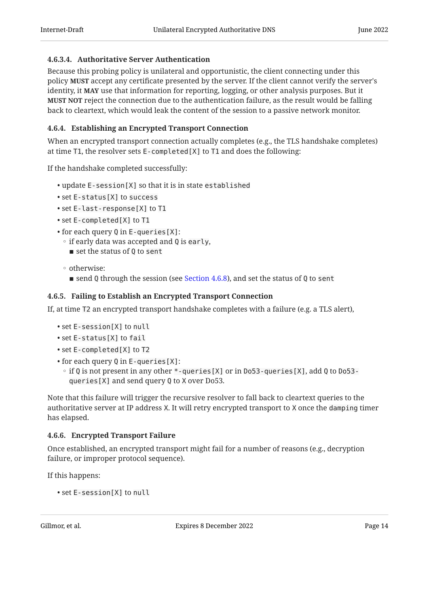#### <span id="page-13-3"></span>[4.6.3.4. Authoritative Server Authentication](#page-13-3)

Because this probing policy is unilateral and opportunistic, the client connecting under this policy **MUST** accept any certificate presented by the server. If the client cannot verify the server's identity, it MAY use that information for reporting, logging, or other analysis purposes. But it  $MUST$  NOT reject the connection due to the authentication failure, as the result would be falling back to cleartext, which would leak the content of the session to a passive network monitor.

#### <span id="page-13-0"></span>[4.6.4. Establishing an Encrypted Transport Connection](#page-13-0)

When an encrypted transport connection actually completes (e.g., the TLS handshake completes) at time T1, the resolver sets E-completed[X] to T1 and does the following:

If the handshake completed successfully:

- update E-session[X] so that it is in state established •
- set E-status[X] to success •
- set E-last-response[X] to T1
- set E-completed[X] to T1 •
- for each query Q in E-queries [X]:
	- if early data was accepted and Q is early,
	- $\blacksquare$  set the status of Q to sent
	- otherwise:
		- $\blacksquare$  send Q through the session (see [Section 4.6.8](#page-14-1)), and set the status of Q to sent

#### <span id="page-13-1"></span>[4.6.5. Failing to Establish an Encrypted Transport Connection](#page-13-1)

If, at time T2 an encrypted transport handshake completes with a failure (e.g. a TLS alert),

- set E-session[X] to null •
- •set E-status[X] to fail
- set E-completed[X] to T2 •
- for each query Q in E-queries [X]:
	- if Q is not present in any other \*-queries [X] or in Do53-queries [X], add Q to Do53queries[X] and send query Q to X over Do53.

Note that this failure will trigger the recursive resolver to fall back to cleartext queries to the authoritative server at IP address X. It will retry encrypted transport to X once the damping timer has elapsed.

#### <span id="page-13-2"></span>[4.6.6. Encrypted Transport Failure](#page-13-2)

Once established, an encrypted transport might fail for a number of reasons (e.g., decryption failure, or improper protocol sequence).

If this happens:

```
• set E-session[X] to null
```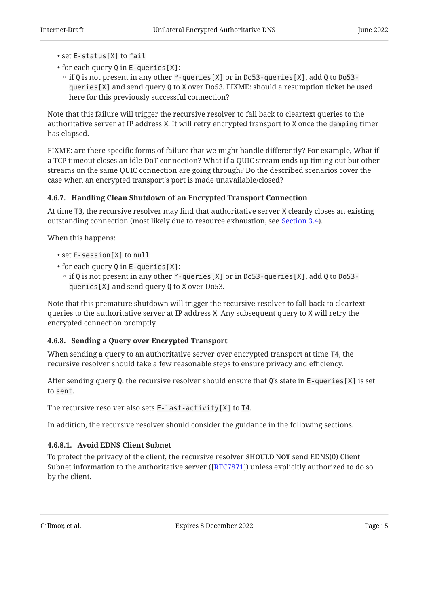- set E-status[X] to fail
- for each query Q in E-queries[X]: •
- if Q is not present in any other \*-queries [X] or in Do53-queries [X], add Q to Do53queries[X] and send query Q to X over Do53. FIXME: should a resumption ticket be used here for this previously successful connection?

Note that this failure will trigger the recursive resolver to fall back to cleartext queries to the authoritative server at IP address X. It will retry encrypted transport to X once the damping timer has elapsed.

FIXME: are there specific forms of failure that we might handle differently? For example, What if a TCP timeout closes an idle DoT connection? What if a QUIC stream ends up timing out but other streams on the same QUIC connection are going through? Do the described scenarios cover the case when an encrypted transport's port is made unavailable/closed?

### <span id="page-14-0"></span>[4.6.7. Handling Clean Shutdown of an Encrypted Transport Connection](#page-14-0)

At time T3, the recursive resolver may find that authoritative server X cleanly closes an existing outstanding connection (most likely due to resource exhaustion, see [Section 3.4](#page-6-0)).

When this happens:

- set E-session[X] to null •
- for each query Q in E-queries[X]: •
- if Q is not present in any other \*-queries [X] or in Do53-queries [X], add Q to Do53queries[X] and send query Q to X over Do53.

Note that this premature shutdown will trigger the recursive resolver to fall back to cleartext queries to the authoritative server at IP address X. Any subsequent query to X will retry the encrypted connection promptly.

#### <span id="page-14-1"></span>[4.6.8. Sending a Query over Encrypted Transport](#page-14-1)

When sending a query to an authoritative server over encrypted transport at time T4, the recursive resolver should take a few reasonable steps to ensure privacy and efficiency.

After sending query Q, the recursive resolver should ensure that Q's state in E-queries[X] is set to sent.

The recursive resolver also sets E-last-activity[X] to T4.

In addition, the recursive resolver should consider the guidance in the following sections.

### <span id="page-14-2"></span>[4.6.8.1. Avoid EDNS Client Subnet](#page-14-2)

To protect the privacy of the client, the recursive resolver **SHOULD NOT** send EDNS(0) Client Subnet information to the authoritative server ([ $\rm{RFC}$ 7871]) unless explicitly authorized to do so by the client.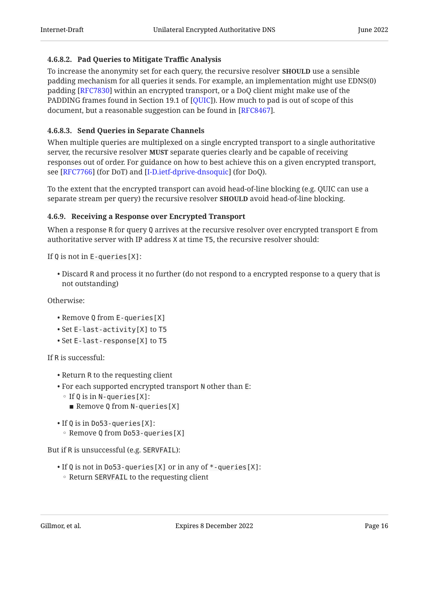#### <span id="page-15-1"></span>[4.6.8.2. Pad Queries to Mitigate Traffic Analysis](#page-15-1)

To increase the anonymity set for each query, the recursive resolver **SHOULD** use a sensible padding mechanism for all queries it sends. For example, an implementation might use EDNS(0) padding [RFC7830] within an encrypted transport, or a DoQ client might make use of the PADDING frames found in Section 19.1 of [QUIC]). How much to pad is out of scope of this document, but a reasonable suggestion can be found in [RFC8467].

#### <span id="page-15-2"></span>[4.6.8.3. Send Queries in Separate Channels](#page-15-2)

When multiple queries are multiplexed on a single encrypted transport to a single authoritative server, the recursive resolver **MUST** separate queries clearly and be capable of receiving responses out of order. For guidance on how to best achieve this on a given encrypted transport, see [RFC7766] (for DoT) and [I-D.ietf-dprive-dnsoquic] (for DoQ).

To the extent that the encrypted transport can avoid head-of-line blocking (e.g. QUIC can use a separate stream per query) the recursive resolver **SHOULD** avoid head-of-line blocking.

#### <span id="page-15-0"></span>[4.6.9. Receiving a Response over Encrypted Transport](#page-15-0)

When a response R for query Q arrives at the recursive resolver over encrypted transport E from authoritative server with IP address X at time T5, the recursive resolver should:

If Q is not in E-queries[X]:

 $\bullet$  Discard R and process it no further (do not respond to a encrypted response to a query that is not outstanding)

Otherwise:

- Remove Q from E-queries[X]
- Set E-last-activity[X] to T5 •
- Set E-last-response[X] to T5 •

If R is successful:

- Return R to the requesting client
- For each supported encrypted transport N other than E:
	- If Q is in N-queries [X]:
		- Remove Q from N-queries [X]
- If Q is in Do53-queries[X]:
	- Remove Q from Do53-queries [X]

But if R is unsuccessful (e.g. SERVFAIL):

 $\bullet$  If Q is not in Do53-queries [X] or in any of  $\ast$ -queries [X]: ◦ Return SERVFAIL to the requesting client

Gillmor, et al. Expires 8 December 2022 Page 16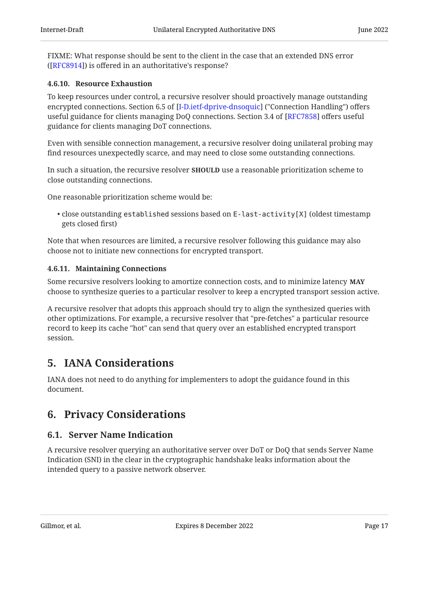FIXME: What response should be sent to the client in the case that an extended DNS error ([[RFC8914\]](#page-18-12)) is offered in an authoritative's response?

#### <span id="page-16-0"></span>[4.6.10. Resource Exhaustion](#page-16-0)

To keep resources under control, a recursive resolver should proactively manage outstanding encrypted connections. Section 6.5 of [I-D.ietf-dprive-dnsoquic] ("Connection Handling") offers useful guidance for clients managing DoQ connections. Section 3.4 of [RFC7858] offers useful guidance for clients managing DoT connections.

Even with sensible connection management, a recursive resolver doing unilateral probing may find resources unexpectedly scarce, and may need to close some outstanding connections.

In such a situation, the recursive resolver **SHOULD** use a reasonable prioritization scheme to close outstanding connections.

One reasonable prioritization scheme would be:

 $\bullet$  close outstanding established sessions based on E-last-activity[X] (oldest timestamp gets closed first)

Note that when resources are limited, a recursive resolver following this guidance may also choose not to initiate new connections for encrypted transport.

#### <span id="page-16-1"></span>[4.6.11. Maintaining Connections](#page-16-1)

Some recursive resolvers looking to amortize connection costs, and to minimize latency MAY choose to synthesize queries to a particular resolver to keep a encrypted transport session active.

A recursive resolver that adopts this approach should try to align the synthesized queries with other optimizations. For example, a recursive resolver that "pre-fetches" a particular resource record to keep its cache "hot" can send that query over an established encrypted transport session.

## <span id="page-16-2"></span>[5. IANA Considerations](#page-16-2)

<span id="page-16-3"></span>IANA does not need to do anything for implementers to adopt the guidance found in this document.

## <span id="page-16-4"></span>[6. Privacy Considerations](#page-16-3)

### [6.1. Server Name Indication](#page-16-4)

A recursive resolver querying an authoritative server over DoT or DoQ that sends Server Name Indication (SNI) in the clear in the cryptographic handshake leaks information about the intended query to a passive network observer.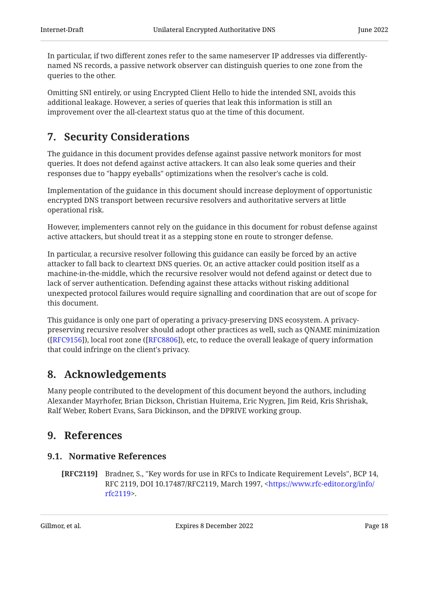In particular, if two different zones refer to the same nameserver IP addresses via differentlynamed NS records, a passive network observer can distinguish queries to one zone from the queries to the other.

Omitting SNI entirely, or using Encrypted Client Hello to hide the intended SNI, avoids this additional leakage. However, a series of queries that leak this information is still an improvement over the all-cleartext status quo at the time of this document.

## <span id="page-17-0"></span>[7. Security Considerations](#page-17-0)

The guidance in this document provides defense against passive network monitors for most queries. It does not defend against active attackers. It can also leak some queries and their responses due to "happy eyeballs" optimizations when the resolver's cache is cold.

Implementation of the guidance in this document should increase deployment of opportunistic encrypted DNS transport between recursive resolvers and authoritative servers at little operational risk.

However, implementers cannot rely on the guidance in this document for robust defense against active attackers, but should treat it as a stepping stone en route to stronger defense.

In particular, a recursive resolver following this guidance can easily be forced by an active attacker to fall back to cleartext DNS queries. Or, an active attacker could position itself as a machine-in-the-middle, which the recursive resolver would not defend against or detect due to lack of server authentication. Defending against these attacks without risking additional unexpected protocol failures would require signalling and coordination that are out of scope for this document.

This guidance is only one part of operating a privacy-preserving DNS ecosystem. A privacypreserving recursive resolver should adopt other practices as well, such as QNAME minimization ([[RFC9156\]](#page-19-4)), local root zone ([[RFC8806\]](#page-19-5)), etc, to reduce the overall leakage of query information that could infringe on the client's privacy.

## <span id="page-17-1"></span>[8. Acknowledgements](#page-17-1)

Many people contributed to the development of this document beyond the authors, including Alexander Mayrhofer, Brian Dickson, Christian Huitema, Eric Nygren, Jim Reid, Kris Shrishak, Ralf Weber, Robert Evans, Sara Dickinson, and the DPRIVE working group.

## <span id="page-17-3"></span><span id="page-17-2"></span>[9. References](#page-17-2)

## [9.1. Normative References](#page-17-3)

<span id="page-17-4"></span>**[RFC2119]** Bradner, S., "Key words for use in RFCs to Indicate Requirement Levels", BCP 14, RFC 2119, DOI 10.17487/RFC2119, March 1997, <[https://www.rfc-editor.org/info/](https://www.rfc-editor.org/info/rfc2119) . [rfc2119>](https://www.rfc-editor.org/info/rfc2119)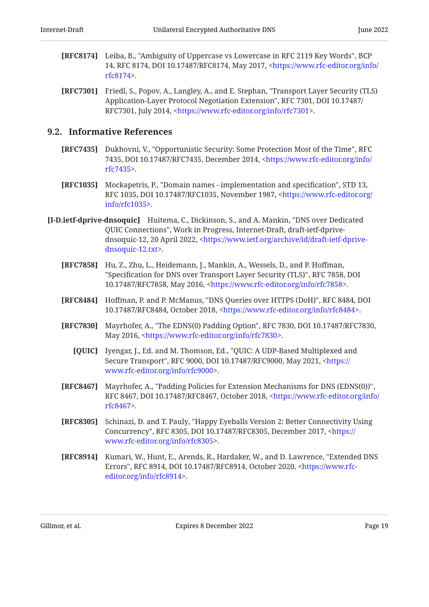- <span id="page-18-2"></span>[RFC8174] Leiba, B., "Ambiguity of Uppercase vs Lowercase in RFC 2119 Key Words", BCP 14, RFC 8174, DOI 10.17487/RFC8174, May 2017, [<https://www.rfc-editor.org/info/](https://www.rfc-editor.org/info/rfc8174) . [rfc8174>](https://www.rfc-editor.org/info/rfc8174)
- <span id="page-18-10"></span>**[RFC7301]** Friedl, S., Popov, A., Langley, A., and E. Stephan, "Transport Layer Security (TLS) Application-Layer Protocol Negotiation Extension", RFC 7301, DOI 10.17487/ RFC7301, July 2014, <https://www.rfc-editor.org/info/rfc7301>.

#### <span id="page-18-0"></span>[9.2. Informative References](#page-18-0)

- <span id="page-18-1"></span>**[RFC7435]** Dukhovni, V., "Opportunistic Security: Some Protection Most of the Time", RFC 7435, DOI 10.17487/RFC7435, December 2014, [<https://www.rfc-editor.org/info/](https://www.rfc-editor.org/info/rfc7435) . [rfc7435>](https://www.rfc-editor.org/info/rfc7435)
- <span id="page-18-3"></span>**[RFC1035]** Mockapetris, P., "Domain names - implementation and specification", STD 13, RFC 1035, DOI 10.17487/RFC1035, November 1987, <[https://www.rfc-editor.org/](https://www.rfc-editor.org/info/rfc1035) . [info/rfc1035>](https://www.rfc-editor.org/info/rfc1035)
- <span id="page-18-8"></span><span id="page-18-7"></span><span id="page-18-6"></span><span id="page-18-5"></span><span id="page-18-4"></span>[I-D.ietf-dprive-dnsoquic] Huitema, C., Dickinson, S., and A. Mankin, "DNS over Dedicated QUIC Connections", Work in Progress, Internet-Draft, draft-ietf-dprive-dnsoquic-12, 20 April 2022, [<https://www.ietf.org/archive/id/draft-ietf-dprive-](https://www.ietf.org/archive/id/draft-ietf-dprive-dnsoquic-12.txt). [dnsoquic-12.txt>](https://www.ietf.org/archive/id/draft-ietf-dprive-dnsoquic-12.txt)
	- **[RFC7858]** Hu, Z., Zhu, L., Heidemann, J., Mankin, A., Wessels, D., and P. Hoffman, "Specification for DNS over Transport Layer Security (TLS)", RFC 7858, DOI 10.17487/RFC7858, May 2016, <https://www.rfc-editor.org/info/rfc7858>.
	- [RFC8484] Hoffman, P. and P. McManus, "DNS Queries over HTTPS (DoH)", RFC 8484, DOI 10.17487/RFC8484, October 2018, <https://www.rfc-editor.org/info/rfc8484>.
	- [RFC7830] Mayrhofer, A., "The EDNS(0) Padding Option", RFC 7830, DOI 10.17487/RFC7830, May 2016, <https://www.rfc-editor.org/info/rfc7830>.
		- **[QUIC]** Iyengar, J., Ed. and M. Thomson, Ed., "QUIC: A UDP-Based Multiplexed and Secure Transport", RFC 9000, DOI 10.17487/RFC9000, May 2021, [<https://](https://www.rfc-editor.org/info/rfc9000) . [www.rfc-editor.org/info/rfc9000](https://www.rfc-editor.org/info/rfc9000)>
	- **[RFC8467]** Mayrhofer, A., "Padding Policies for Extension Mechanisms for DNS (EDNS(0))", RFC 8467, DOI 10.17487/RFC8467, October 2018, <[https://www.rfc-editor.org/info/](https://www.rfc-editor.org/info/rfc8467) . [rfc8467>](https://www.rfc-editor.org/info/rfc8467)
	- **[RFC8305]** Schinazi, D. and T. Pauly, "Happy Eyeballs Version 2: Better Connectivity Using Concurrency", RFC 8305, DOI 10.17487/RFC8305, December 2017, <[https://](https://www.rfc-editor.org/info/rfc8305) . [www.rfc-editor.org/info/rfc8305](https://www.rfc-editor.org/info/rfc8305)>
	- [RFC8914] Kumari, W., Hunt, E., Arends, R., Hardaker, W., and D. Lawrence, "Extended DNS Errors", RFC 8914, DOI 10.17487/RFC8914, October 2020, [<https://www.rfc-](https://www.rfc-editor.org/info/rfc8914). [editor.org/info/rfc8914](https://www.rfc-editor.org/info/rfc8914)>

<span id="page-18-12"></span><span id="page-18-11"></span><span id="page-18-9"></span>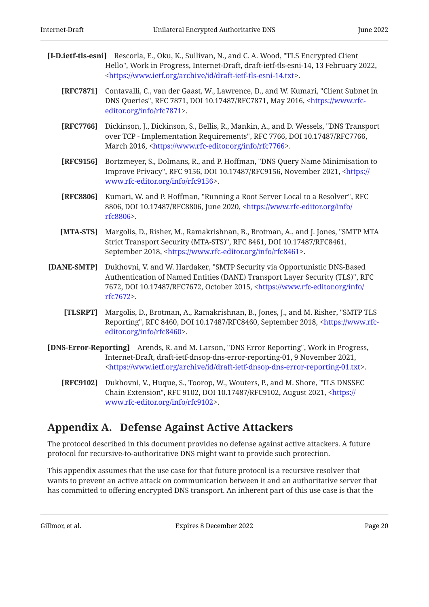- <span id="page-19-4"></span><span id="page-19-3"></span><span id="page-19-2"></span><span id="page-19-1"></span>[I-D.ietf-tls-esni] Rescorla, E., Oku, K., Sullivan, N., and C. A. Wood, "TLS Encrypted Client Hello", Work in Progress, Internet-Draft, draft-ietf-tls-esni-14, 13 February 2022, . [<https://www.ietf.org/archive/id/draft-ietf-tls-esni-14.txt>](https://www.ietf.org/archive/id/draft-ietf-tls-esni-14.txt)
	- **[RFC7871]** Contavalli, C., van der Gaast, W., Lawrence, D., and W. Kumari, "Client Subnet in DNS Queries", RFC 7871, DOI 10.17487/RFC7871, May 2016, [<https://www.rfc-](https://www.rfc-editor.org/info/rfc7871). [editor.org/info/rfc7871](https://www.rfc-editor.org/info/rfc7871)>
	- **[RFC7766]** Dickinson, J., Dickinson, S., Bellis, R., Mankin, A., and D. Wessels, "DNS Transport over TCP - Implementation Requirements", RFC 7766, DOI 10.17487/RFC7766, March 2016, <https://www.rfc-editor.org/info/rfc7766>.
	- **[RFC9156]** Bortzmeyer, S., Dolmans, R., and P. Hoffman, "DNS Query Name Minimisation to Improve Privacy", RFC 9156, DOI 10.17487/RFC9156, November 2021, <[https://](https://www.rfc-editor.org/info/rfc9156) . [www.rfc-editor.org/info/rfc9156](https://www.rfc-editor.org/info/rfc9156)>
	- **[RFC8806]** Kumari, W. and P. Hoffman, "Running a Root Server Local to a Resolver", RFC 8806, DOI 10.17487/RFC8806, June 2020, [<https://www.rfc-editor.org/info/](https://www.rfc-editor.org/info/rfc8806) . [rfc8806>](https://www.rfc-editor.org/info/rfc8806)
	- **[MTA-STS]** Margolis, D., Risher, M., Ramakrishnan, B., Brotman, A., and J. Jones, "SMTP MTA Strict Transport Security (MTA-STS)", RFC 8461, DOI 10.17487/RFC8461, September 2018, <https://www.rfc-editor.org/info/rfc8461>.
- <span id="page-19-7"></span><span id="page-19-6"></span><span id="page-19-5"></span>[DANE-SMTP] Dukhovni, V. and W. Hardaker, "SMTP Security via Opportunistic DNS-Based Authentication of Named Entities (DANE) Transport Layer Security (TLS)", RFC 7672, DOI 10.17487/RFC7672, October 2015, [<https://www.rfc-editor.org/info/](https://www.rfc-editor.org/info/rfc7672) . [rfc7672>](https://www.rfc-editor.org/info/rfc7672)
	- **[TLSRPT]** Margolis, D., Brotman, A., Ramakrishnan, B., Jones, J., and M. Risher, "SMTP TLS Reporting", RFC 8460, DOI 10.17487/RFC8460, September 2018, [<https://www.rfc-](https://www.rfc-editor.org/info/rfc8460). [editor.org/info/rfc8460](https://www.rfc-editor.org/info/rfc8460)>
- <span id="page-19-10"></span><span id="page-19-9"></span><span id="page-19-8"></span>[DNS-Error-Reporting] Arends, R. and M. Larson, "DNS Error Reporting", Work in Progress, Internet-Draft, draft-ietf-dnsop-dns-error-reporting-01, 9 November 2021, . [<https://www.ietf.org/archive/id/draft-ietf-dnsop-dns-error-reporting-01.txt>](https://www.ietf.org/archive/id/draft-ietf-dnsop-dns-error-reporting-01.txt)
	- **[RFC9102]** Dukhovni, V., Huque, S., Toorop, W., Wouters, P., and M. Shore, "TLS DNSSEC Chain Extension", RFC 9102, DOI 10.17487/RFC9102, August 2021, [<https://](https://www.rfc-editor.org/info/rfc9102) . [www.rfc-editor.org/info/rfc9102](https://www.rfc-editor.org/info/rfc9102)>

## <span id="page-19-0"></span>[Appendix A. Defense Against Active Attackers](#page-19-0)

The protocol described in this document provides no defense against active attackers. A future protocol for recursive-to-authoritative DNS might want to provide such protection.

This appendix assumes that the use case for that future protocol is a recursive resolver that wants to prevent an active attack on communication between it and an authoritative server that has committed to offering encrypted DNS transport. An inherent part of this use case is that the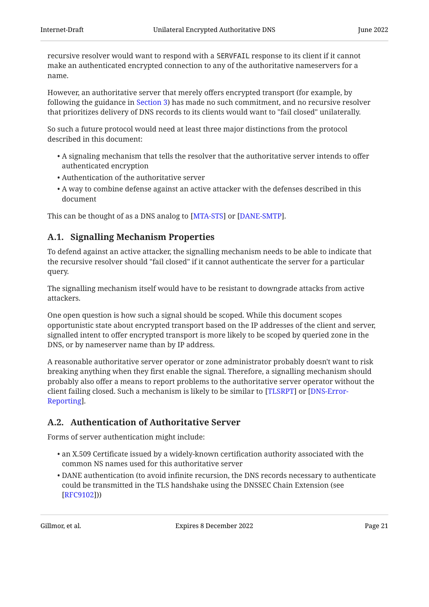recursive resolver would want to respond with a SERVFAIL response to its client if it cannot make an authenticated encrypted connection to any of the authoritative nameservers for a name.

However, an authoritative server that merely offers encrypted transport (for example, by following the guidance in [Section 3](#page-4-3)) has made no such commitment, and no recursive resolver that prioritizes delivery of DNS records to its clients would want to "fail closed" unilaterally.

So such a future protocol would need at least three major distinctions from the protocol described in this document:

- $\bullet$  A signaling mechanism that tells the resolver that the authoritative server intends to offer authenticated encryption
- Authentication of the authoritative server •
- $\bullet$  A way to combine defense against an active attacker with the defenses described in this document

<span id="page-20-0"></span>This can be thought of as a DNS analog to [MTA-STS] or [DANE-SMTP].

## [A.1. Signalling Mechanism Properties](#page-20-0)

To defend against an active attacker, the signalling mechanism needs to be able to indicate that the recursive resolver should "fail closed" if it cannot authenticate the server for a particular query.

The signalling mechanism itself would have to be resistant to downgrade attacks from active attackers.

One open question is how such a signal should be scoped. While this document scopes opportunistic state about encrypted transport based on the IP addresses of the client and server, signalled intent to offer encrypted transport is more likely to be scoped by queried zone in the DNS, or by nameserver name than by IP address.

A reasonable authoritative server operator or zone administrator probably doesn't want to risk breaking anything when they first enable the signal. Therefore, a signalling mechanism should probably also offer a means to report problems to the authoritative server operator without the client failing closed. Such a mechanism is likely to be similar to [TLSRPT] or [\[DNS-Error-](#page-19-9). [Reporting\]](#page-19-9)

## <span id="page-20-1"></span>[A.2. Authentication of Authoritative Server](#page-20-1)

Forms of server authentication might include:

- $\bullet$  an X.509 Certificate issued by a widely-known certification authority associated with the common NS names used for this authoritative server
- DANE authentication (to avoid infinite recursion, the DNS records necessary to authenticate could be transmitted in the TLS handshake using the DNSSEC Chain Extension (see [[RFC9102](#page-19-10)]))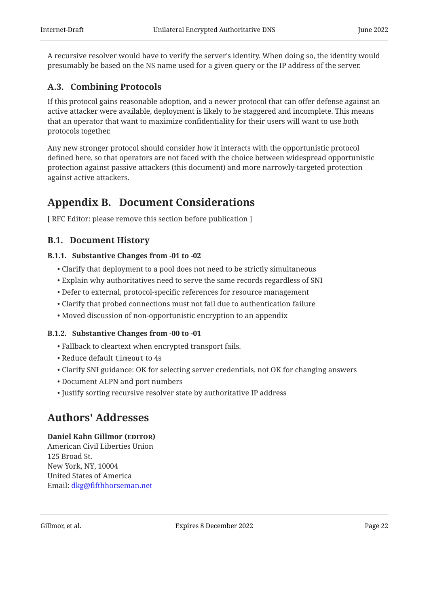A recursive resolver would have to verify the server's identity. When doing so, the identity would presumably be based on the NS name used for a given query or the IP address of the server.

## <span id="page-21-0"></span>[A.3. Combining Protocols](#page-21-0)

If this protocol gains reasonable adoption, and a newer protocol that can offer defense against an active attacker were available, deployment is likely to be staggered and incomplete. This means that an operator that want to maximize confidentiality for their users will want to use both protocols together.

Any new stronger protocol should consider how it interacts with the opportunistic protocol defined here, so that operators are not faced with the choice between widespread opportunistic protection against passive attackers (this document) and more narrowly-targeted protection against active attackers.

## <span id="page-21-1"></span>[Appendix B. Document Considerations](#page-21-1)

<span id="page-21-2"></span>[ RFC Editor: please remove this section before publication ]

### <span id="page-21-3"></span>[B.1. Document History](#page-21-2)

#### [B.1.1. Substantive Changes from -01 to -02](#page-21-3)

- Clarify that deployment to a pool does not need to be strictly simultaneous •
- Explain why authoritatives need to serve the same records regardless of SNI •
- Defer to external, protocol-specific references for resource management •
- Clarify that probed connections must not fail due to authentication failure •
- <span id="page-21-4"></span>Moved discussion of non-opportunistic encryption to an appendix •

#### [B.1.2. Substantive Changes from -00 to -01](#page-21-4)

- Fallback to cleartext when encrypted transport fails. •
- Reduce default timeout to 4s
- Clarify SNI guidance: OK for selecting server credentials, not OK for changing answers
- Document ALPN and port numbers •
- <span id="page-21-5"></span>Justify sorting recursive resolver state by authoritative IP address •

## [Authors' Addresses](#page-21-5)

#### Daniel Kahn Gillmor (EDITOR)

American Civil Liberties Union 125 Broad St. New York, NY, 10004 United States of America Email: [dkg@fifthhorseman.net](mailto:dkg@fifthhorseman.net)

Gillmor, et al. Expires 8 December 2022 Page 22